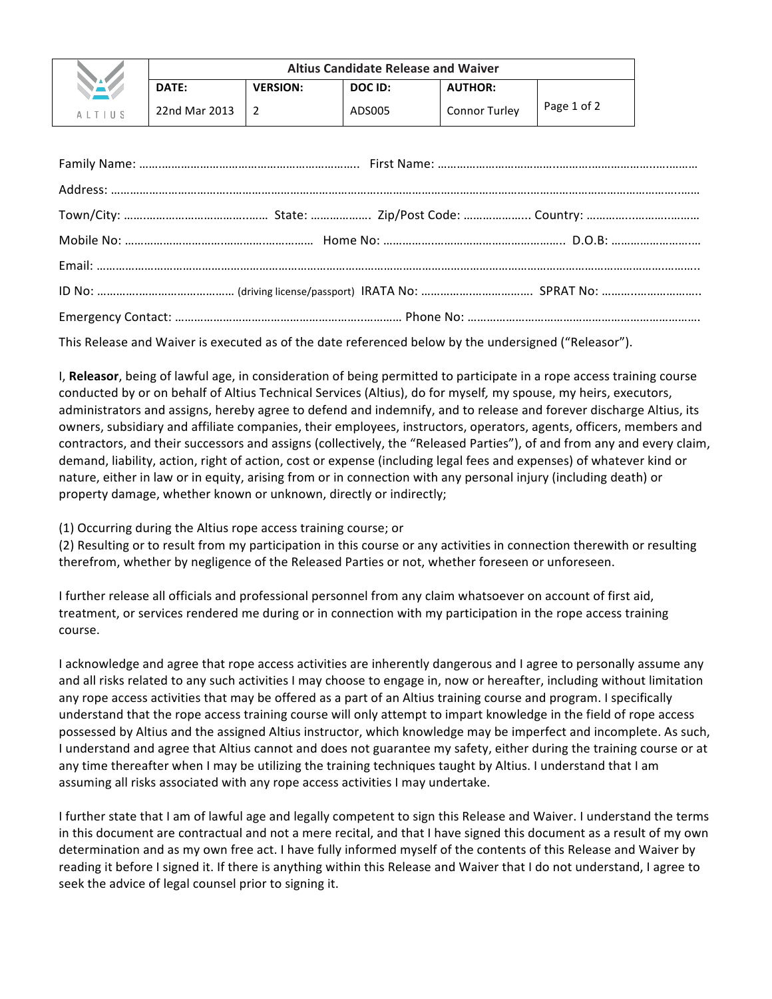|                    | <b>Altius Candidate Release and Waiver</b> |                 |         |                      |             |
|--------------------|--------------------------------------------|-----------------|---------|----------------------|-------------|
| NAV                | DATE:                                      | <b>VERSION:</b> | DOC ID: | <b>AUTHOR:</b>       |             |
| $A$   $T$      $S$ | 22nd Mar 2013                              |                 | ADS005  | <b>Connor Turley</b> | Page 1 of 2 |

This Release and Waiver is executed as of the date referenced below by the undersigned ("Releasor").

I, Releasor, being of lawful age, in consideration of being permitted to participate in a rope access training course conducted by or on behalf of Altius Technical Services (Altius), do for myself, my spouse, my heirs, executors, administrators and assigns, hereby agree to defend and indemnify, and to release and forever discharge Altius, its owners, subsidiary and affiliate companies, their employees, instructors, operators, agents, officers, members and contractors, and their successors and assigns (collectively, the "Released Parties"), of and from any and every claim, demand, liability, action, right of action, cost or expense (including legal fees and expenses) of whatever kind or nature, either in law or in equity, arising from or in connection with any personal injury (including death) or property damage, whether known or unknown, directly or indirectly;

(1) Occurring during the Altius rope access training course; or

(2) Resulting or to result from my participation in this course or any activities in connection therewith or resulting therefrom, whether by negligence of the Released Parties or not, whether foreseen or unforeseen.

I further release all officials and professional personnel from any claim whatsoever on account of first aid, treatment, or services rendered me during or in connection with my participation in the rope access training course.

I acknowledge and agree that rope access activities are inherently dangerous and I agree to personally assume any and all risks related to any such activities I may choose to engage in, now or hereafter, including without limitation any rope access activities that may be offered as a part of an Altius training course and program. I specifically understand that the rope access training course will only attempt to impart knowledge in the field of rope access possessed by Altius and the assigned Altius instructor, which knowledge may be imperfect and incomplete. As such, I understand and agree that Altius cannot and does not guarantee my safety, either during the training course or at any time thereafter when I may be utilizing the training techniques taught by Altius. I understand that I am assuming all risks associated with any rope access activities I may undertake.

I further state that I am of lawful age and legally competent to sign this Release and Waiver. I understand the terms in this document are contractual and not a mere recital, and that I have signed this document as a result of my own determination and as my own free act. I have fully informed myself of the contents of this Release and Waiver by reading it before I signed it. If there is anything within this Release and Waiver that I do not understand, I agree to seek the advice of legal counsel prior to signing it.